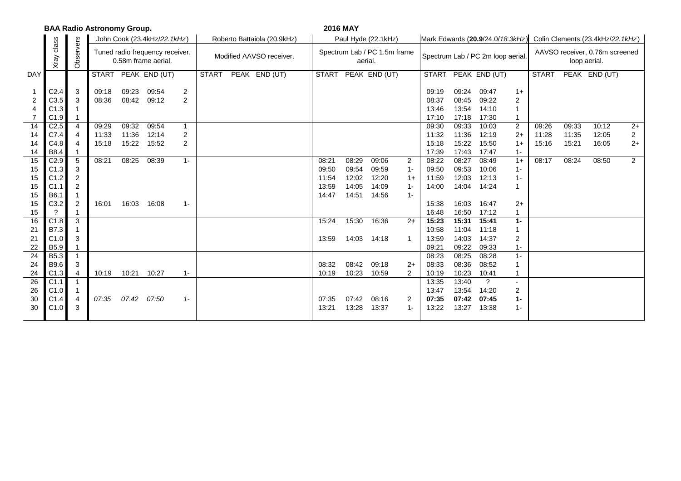| <b>BAA Radio Astronomy Group.</b>                                                                                                      |                                                                                                                                                                                                                     |                                                                                              |                                                             |                                                             |                                                             |                                                                          |                          |  |                             |  |                                                                      | <b>2016 MAY</b>                                                      |                                                                      |                                                                                   |                                                                                                                                                                                  |                                                                                                                                                                                  |                                                                                                                                                                                  |                                                                                                                        |                                                |                                  |                                  |                                                  |  |
|----------------------------------------------------------------------------------------------------------------------------------------|---------------------------------------------------------------------------------------------------------------------------------------------------------------------------------------------------------------------|----------------------------------------------------------------------------------------------|-------------------------------------------------------------|-------------------------------------------------------------|-------------------------------------------------------------|--------------------------------------------------------------------------|--------------------------|--|-----------------------------|--|----------------------------------------------------------------------|----------------------------------------------------------------------|----------------------------------------------------------------------|-----------------------------------------------------------------------------------|----------------------------------------------------------------------------------------------------------------------------------------------------------------------------------|----------------------------------------------------------------------------------------------------------------------------------------------------------------------------------|----------------------------------------------------------------------------------------------------------------------------------------------------------------------------------|------------------------------------------------------------------------------------------------------------------------|------------------------------------------------|----------------------------------|----------------------------------|--------------------------------------------------|--|
|                                                                                                                                        |                                                                                                                                                                                                                     |                                                                                              |                                                             |                                                             | John Cook (23.4kHz/22.1kHz)                                 |                                                                          |                          |  | Roberto Battaiola (20.9kHz) |  | Paul Hyde (22.1kHz)                                                  |                                                                      |                                                                      |                                                                                   |                                                                                                                                                                                  | Mark Edwards (20.9/24.0/18.3kHz)                                                                                                                                                 |                                                                                                                                                                                  | Colin Clements (23.4kHz/22.1kHz)                                                                                       |                                                |                                  |                                  |                                                  |  |
|                                                                                                                                        | class<br>Xray                                                                                                                                                                                                       | Observers                                                                                    |                                                             |                                                             | Tuned radio frequency receiver,<br>0.58m frame aerial.      |                                                                          | Modified AAVSO receiver. |  |                             |  |                                                                      | Spectrum Lab / PC 1.5m frame<br>aerial.                              |                                                                      |                                                                                   |                                                                                                                                                                                  |                                                                                                                                                                                  | Spectrum Lab / PC 2m loop aerial.                                                                                                                                                |                                                                                                                        | AAVSO receiver, 0.76m screened<br>loop aerial. |                                  |                                  |                                                  |  |
| <b>DAY</b>                                                                                                                             |                                                                                                                                                                                                                     |                                                                                              |                                                             |                                                             | START PEAK END (UT)                                         |                                                                          | <b>START</b>             |  | PEAK END (UT)               |  | <b>START</b>                                                         |                                                                      | PEAK END (UT)                                                        |                                                                                   | <b>START</b>                                                                                                                                                                     |                                                                                                                                                                                  | PEAK END (UT)                                                                                                                                                                    |                                                                                                                        | <b>START</b>                                   |                                  | PEAK END (UT)                    |                                                  |  |
| $\overline{2}$<br>$\overline{7}$<br>14<br>14<br>14<br>14<br>15<br>15<br>15<br>15<br>15<br>15<br>15<br>16<br>21<br>21<br>22<br>24<br>24 | C <sub>2.4</sub><br>C <sub>3.5</sub><br>C1.3<br>C1.9<br>C <sub>2.5</sub><br>C7.4<br>C4.8<br>B8.4<br>C2.9<br>C1.3<br>C1.2<br>C <sub>1.1</sub><br>B6.1<br>C3.2<br>C1.8<br>B7.3<br>C1.0<br>B5.9<br><b>B5.3</b><br>B9.6 | 3<br>3<br>4<br>$\overline{4}$<br>4<br>5<br>3<br>2<br>2<br>$\overline{2}$<br>3<br>3<br>1<br>3 | 09:18<br>08:36<br>09:29<br>11:33<br>15:18<br>08:21<br>16:01 | 09:23<br>08:42<br>09:32<br>11:36<br>15:22<br>08:25<br>16:03 | 09:54<br>09:12<br>09:54<br>12:14<br>15:52<br>08:39<br>16:08 | $\overline{\mathbf{c}}$<br>2<br>$\mathbf{1}$<br>2<br>2<br>$1 -$<br>$1 -$ |                          |  |                             |  | 08:21<br>09:50<br>11:54<br>13:59<br>14:47<br>15:24<br>13:59<br>08:32 | 08:29<br>09:54<br>12:02<br>14:05<br>14:51<br>15:30<br>14:03<br>08:42 | 09:06<br>09:59<br>12:20<br>14:09<br>14:56<br>16:36<br>14:18<br>09:18 | $\overline{2}$<br>$1 -$<br>$1+$<br>$1 -$<br>$1 -$<br>$2+$<br>$\mathbf{1}$<br>$2+$ | 09:19<br>08:37<br>13:46<br>17:10<br>09:30<br>11:32<br>15:18<br>17:39<br>08:22<br>09:50<br>11:59<br>14:00<br>15:38<br>16:48<br>15:23<br>10:58<br>13:59<br>09:21<br>08:23<br>08:33 | 09:24<br>08:45<br>13:54<br>17:18<br>09:33<br>11:36<br>15:22<br>17:43<br>08:27<br>09:53<br>12:03<br>14:04<br>16:03<br>16:50<br>15:31<br>11:04<br>14:03<br>09:22<br>08:25<br>08:36 | 09:47<br>09:22<br>14:10<br>17:30<br>10:03<br>12:19<br>15:50<br>17:47<br>08:49<br>10:06<br>12:13<br>14:24<br>16:47<br>17:12<br>15:41<br>11:18<br>14:37<br>09:33<br>08:28<br>08:52 | $1+$<br>2<br>$\overline{2}$<br>$^{2+}$<br>$1+$<br>$1 -$<br>$1+$<br>$1 -$<br>$1 -$<br>$2+$<br>$1 -$<br>2<br>1-<br>$1 -$ | 09:26<br>11:28<br>15:16<br>08:17               | 09:33<br>11:35<br>15:21<br>08:24 | 10:12<br>12:05<br>16:05<br>08:50 | $2+$<br>$\overline{2}$<br>$2+$<br>$\overline{2}$ |  |
| 24                                                                                                                                     | C1.3                                                                                                                                                                                                                | 4                                                                                            | 10:19                                                       | 10:21                                                       | 10:27                                                       | $1 -$                                                                    |                          |  |                             |  | 10:19                                                                | 10:23                                                                | 10:59                                                                | 2                                                                                 | 10:19                                                                                                                                                                            | 10:23                                                                                                                                                                            | 10:41                                                                                                                                                                            |                                                                                                                        |                                                |                                  |                                  |                                                  |  |
| 26                                                                                                                                     | C1.1                                                                                                                                                                                                                |                                                                                              |                                                             |                                                             |                                                             |                                                                          |                          |  |                             |  |                                                                      |                                                                      |                                                                      |                                                                                   | 13:35                                                                                                                                                                            | 13:40                                                                                                                                                                            | $\overline{?}$                                                                                                                                                                   |                                                                                                                        |                                                |                                  |                                  |                                                  |  |
| 26                                                                                                                                     | C1.0                                                                                                                                                                                                                |                                                                                              |                                                             |                                                             |                                                             |                                                                          |                          |  |                             |  |                                                                      |                                                                      |                                                                      |                                                                                   | 13:47                                                                                                                                                                            | 13:54                                                                                                                                                                            | 14:20                                                                                                                                                                            | 2                                                                                                                      |                                                |                                  |                                  |                                                  |  |
| 30                                                                                                                                     | C1.4                                                                                                                                                                                                                | 4                                                                                            | 07:35                                                       | 07:42                                                       | 07:50                                                       | $1 -$                                                                    |                          |  |                             |  | 07:35                                                                | 07:42                                                                | 08:16                                                                | 2                                                                                 | 07:35                                                                                                                                                                            | 07:42                                                                                                                                                                            | 07:45                                                                                                                                                                            | 1-                                                                                                                     |                                                |                                  |                                  |                                                  |  |
| 30                                                                                                                                     | C1.0                                                                                                                                                                                                                | 3                                                                                            |                                                             |                                                             |                                                             |                                                                          |                          |  |                             |  | 13:21                                                                | 13:28                                                                | 13:37                                                                | $1 -$                                                                             | 13:22                                                                                                                                                                            | 13:27                                                                                                                                                                            | 13:38                                                                                                                                                                            | $1 -$                                                                                                                  |                                                |                                  |                                  |                                                  |  |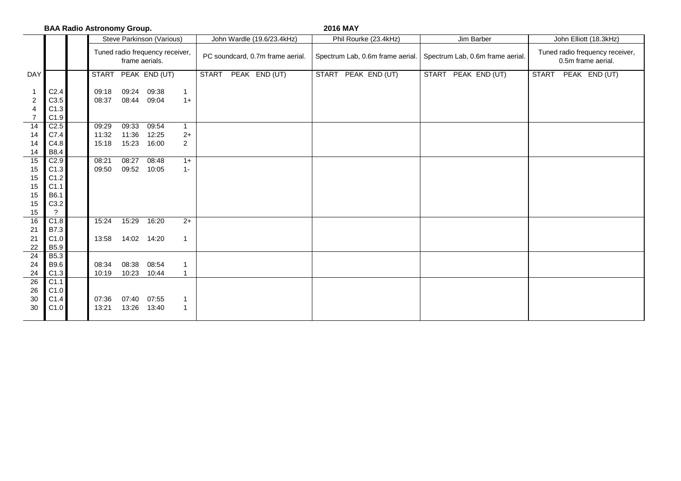|                         |                   | <b>BAA Radio Astronomy Group.</b>                 |       |                           |                |              |                                  | <b>2016 MAY</b> |                                  |                                  |                                                       |                     |  |  |  |
|-------------------------|-------------------|---------------------------------------------------|-------|---------------------------|----------------|--------------|----------------------------------|-----------------|----------------------------------|----------------------------------|-------------------------------------------------------|---------------------|--|--|--|
|                         |                   |                                                   |       | Steve Parkinson (Various) |                |              | John Wardle (19.6/23.4kHz)       |                 | Phil Rourke (23.4kHz)            | Jim Barber                       | John Elliott (18.3kHz)                                |                     |  |  |  |
|                         |                   | Tuned radio frequency receiver,<br>frame aerials. |       |                           |                |              | PC soundcard, 0.7m frame aerial. |                 | Spectrum Lab, 0.6m frame aerial. | Spectrum Lab, 0.6m frame aerial. | Tuned radio frequency receiver,<br>0.5m frame aerial. |                     |  |  |  |
| <b>DAY</b>              |                   | <b>START</b>                                      |       | PEAK END (UT)             |                | <b>START</b> | PEAK END (UT)                    |                 | START PEAK END (UT)              | START PEAK END (UT)              |                                                       | START PEAK END (UT) |  |  |  |
| $\overline{\mathbf{1}}$ | C <sub>2.4</sub>  | 09:18                                             | 09:24 | 09:38                     | $\mathbf{1}$   |              |                                  |                 |                                  |                                  |                                                       |                     |  |  |  |
| $\overline{c}$          | C3.5              | 08:37                                             |       | 08:44 09:04               | $1+$           |              |                                  |                 |                                  |                                  |                                                       |                     |  |  |  |
| $\overline{4}$          | C1.3              |                                                   |       |                           |                |              |                                  |                 |                                  |                                  |                                                       |                     |  |  |  |
| $\overline{7}$          | C1.9              |                                                   |       |                           |                |              |                                  |                 |                                  |                                  |                                                       |                     |  |  |  |
| 14                      | C2.5              | 09:29                                             | 09:33 | 09:54                     | $\mathbf{1}$   |              |                                  |                 |                                  |                                  |                                                       |                     |  |  |  |
| 14                      | C7.4              | 11:32                                             | 11:36 | 12:25                     | $2+$           |              |                                  |                 |                                  |                                  |                                                       |                     |  |  |  |
| 14                      | C4.8              | 15:18                                             | 15:23 | 16:00                     | $\overline{2}$ |              |                                  |                 |                                  |                                  |                                                       |                     |  |  |  |
| 14                      | <b>B8.4</b>       |                                                   |       |                           |                |              |                                  |                 |                                  |                                  |                                                       |                     |  |  |  |
| $\overline{15}$         | C2.9              | 08:21                                             | 08:27 | 08:48                     | $1+$           |              |                                  |                 |                                  |                                  |                                                       |                     |  |  |  |
| 15                      | C1.3              | 09:50                                             | 09:52 | 10:05                     | $1 -$          |              |                                  |                 |                                  |                                  |                                                       |                     |  |  |  |
| 15                      | C1.2<br>C1.1      |                                                   |       |                           |                |              |                                  |                 |                                  |                                  |                                                       |                     |  |  |  |
| 15<br>15                | B6.1              |                                                   |       |                           |                |              |                                  |                 |                                  |                                  |                                                       |                     |  |  |  |
| 15                      | C3.2              |                                                   |       |                           |                |              |                                  |                 |                                  |                                  |                                                       |                     |  |  |  |
| $15\,$                  | $\ddot{\text{?}}$ |                                                   |       |                           |                |              |                                  |                 |                                  |                                  |                                                       |                     |  |  |  |
| 16                      | C1.8              | 15:24                                             | 15:29 | 16:20                     | $2+$           |              |                                  |                 |                                  |                                  |                                                       |                     |  |  |  |
| 21                      | <b>B7.3</b>       |                                                   |       |                           |                |              |                                  |                 |                                  |                                  |                                                       |                     |  |  |  |
| 21                      | C1.0              | 13:58                                             |       | 14:02 14:20               | $\mathbf{1}$   |              |                                  |                 |                                  |                                  |                                                       |                     |  |  |  |
| $22\,$                  | <b>B5.9</b>       |                                                   |       |                           |                |              |                                  |                 |                                  |                                  |                                                       |                     |  |  |  |
| $\overline{24}$         | <b>B5.3</b>       |                                                   |       |                           |                |              |                                  |                 |                                  |                                  |                                                       |                     |  |  |  |
| 24                      | B9.6              | 08:34                                             | 08:38 | 08:54                     | $\mathbf{1}$   |              |                                  |                 |                                  |                                  |                                                       |                     |  |  |  |
|                         | C1.3              | 10:19                                             | 10:23 | 10:44                     | $\mathbf{1}$   |              |                                  |                 |                                  |                                  |                                                       |                     |  |  |  |
| $\frac{24}{26}$         | C1.1              |                                                   |       |                           |                |              |                                  |                 |                                  |                                  |                                                       |                     |  |  |  |
| 26                      | C1.0              |                                                   |       |                           |                |              |                                  |                 |                                  |                                  |                                                       |                     |  |  |  |
| 30                      | C1.4              | 07:36                                             | 07:40 | 07:55                     | $\mathbf{1}$   |              |                                  |                 |                                  |                                  |                                                       |                     |  |  |  |
| 30                      | C1.0              | 13:21                                             | 13:26 | 13:40                     | $\mathbf{1}$   |              |                                  |                 |                                  |                                  |                                                       |                     |  |  |  |
|                         |                   |                                                   |       |                           |                |              |                                  |                 |                                  |                                  |                                                       |                     |  |  |  |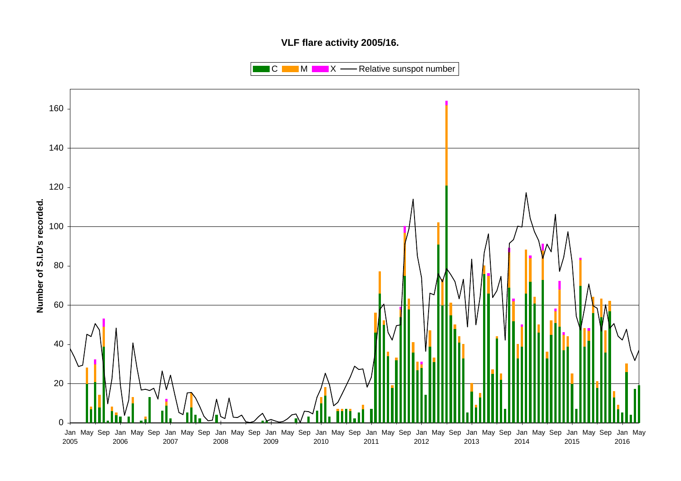## **VLF flare activity 2005/16.**

 $\blacksquare$  C  $\blacksquare$  M  $\blacksquare$   $\blacksquare$  X  $\blacksquare$  Relative sunspot number

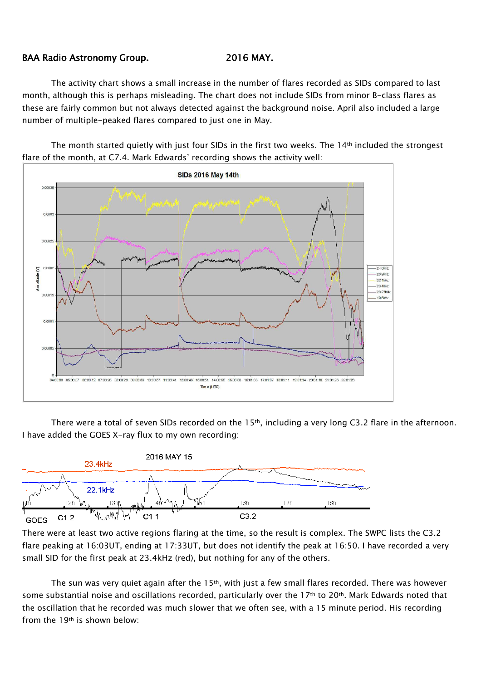## BAA Radio Astronomy Group. 2016 MAY.

The activity chart shows a small increase in the number of flares recorded as SIDs compared to last month, although this is perhaps misleading. The chart does not include SIDs from minor B-class flares as these are fairly common but not always detected against the background noise. April also included a large number of multiple-peaked flares compared to just one in May.

The month started quietly with just four SIDs in the first two weeks. The 14<sup>th</sup> included the strongest flare of the month, at C7.4. Mark Edwards' recording shows the activity well:



There were a total of seven SIDs recorded on the 15<sup>th</sup>, including a very long C3.2 flare in the afternoon. I have added the GOES X-ray flux to my own recording:



There were at least two active regions flaring at the time, so the result is complex. The SWPC lists the C3.2 flare peaking at 16:03UT, ending at 17:33UT, but does not identify the peak at 16:50. I have recorded a very small SID for the first peak at 23.4kHz (red), but nothing for any of the others.

The sun was very quiet again after the 15th, with just a few small flares recorded. There was however some substantial noise and oscillations recorded, particularly over the 17<sup>th</sup> to 20<sup>th</sup>. Mark Edwards noted that the oscillation that he recorded was much slower that we often see, with a 15 minute period. His recording from the 19th is shown below: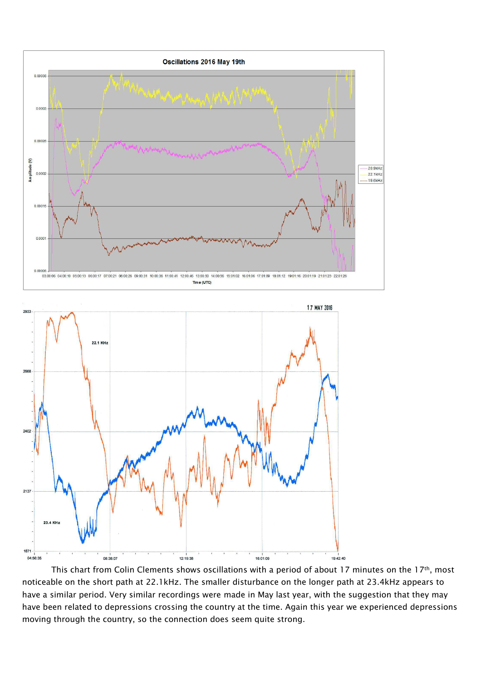



This chart from Colin Clements shows oscillations with a period of about 17 minutes on the 17<sup>th</sup>, most noticeable on the short path at 22.1kHz. The smaller disturbance on the longer path at 23.4kHz appears to have a similar period. Very similar recordings were made in May last year, with the suggestion that they may have been related to depressions crossing the country at the time. Again this year we experienced depressions moving through the country, so the connection does seem quite strong.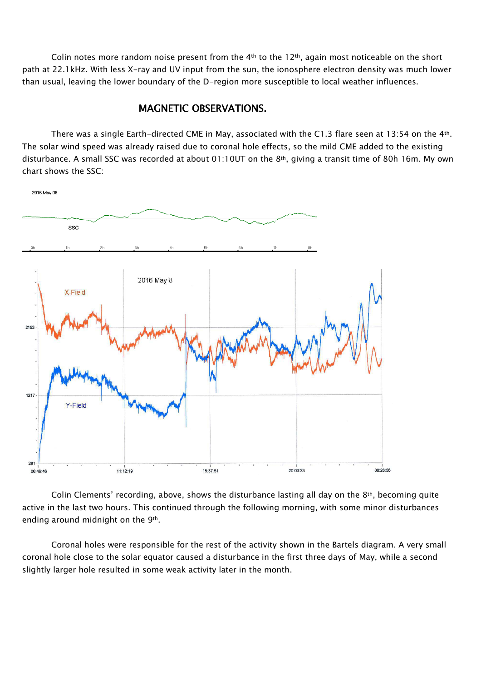Colin notes more random noise present from the 4<sup>th</sup> to the 12<sup>th</sup>, again most noticeable on the short path at 22.1kHz. With less X-ray and UV input from the sun, the ionosphere electron density was much lower than usual, leaving the lower boundary of the D-region more susceptible to local weather influences.

## MAGNETIC OBSERVATIONS.

There was a single Earth-directed CME in May, associated with the C1.3 flare seen at 13:54 on the 4th. The solar wind speed was already raised due to coronal hole effects, so the mild CME added to the existing disturbance. A small SSC was recorded at about 01:10UT on the 8<sup>th</sup>, giving a transit time of 80h 16m. My own chart shows the SSC:



Colin Clements' recording, above, shows the disturbance lasting all day on the  $8<sup>th</sup>$ , becoming quite active in the last two hours. This continued through the following morning, with some minor disturbances ending around midnight on the 9th.

Coronal holes were responsible for the rest of the activity shown in the Bartels diagram. A very small coronal hole close to the solar equator caused a disturbance in the first three days of May, while a second slightly larger hole resulted in some weak activity later in the month.